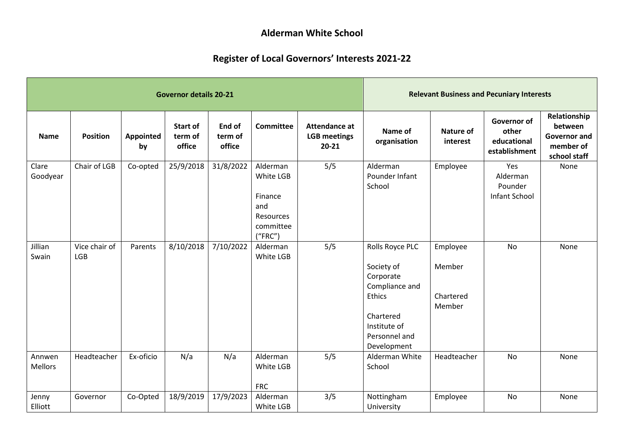## **Alderman White School**

## **Register of Local Governors' Interests 2021-22**

|                          |                      |                 | <b>Governor details 20-21</b>        | <b>Relevant Business and Pecuniary Interests</b> |                                                                                     |                                                   |                                                                                                                                     |                                           |                                                      |                                                                             |
|--------------------------|----------------------|-----------------|--------------------------------------|--------------------------------------------------|-------------------------------------------------------------------------------------|---------------------------------------------------|-------------------------------------------------------------------------------------------------------------------------------------|-------------------------------------------|------------------------------------------------------|-----------------------------------------------------------------------------|
| <b>Name</b>              | <b>Position</b>      | Appointed<br>by | <b>Start of</b><br>term of<br>office | End of<br>term of<br>office                      | <b>Committee</b>                                                                    | Attendance at<br><b>LGB</b> meetings<br>$20 - 21$ | Name of<br>organisation                                                                                                             | <b>Nature of</b><br>interest              | Governor of<br>other<br>educational<br>establishment | Relationship<br>between<br><b>Governor and</b><br>member of<br>school staff |
| Clare<br>Goodyear        | Chair of LGB         | Co-opted        | 25/9/2018                            | 31/8/2022                                        | Alderman<br>White LGB<br>Finance<br>and<br><b>Resources</b><br>committee<br>("FRC") | 5/5                                               | Alderman<br>Pounder Infant<br>School                                                                                                | Employee                                  | Yes<br>Alderman<br>Pounder<br>Infant School          | None                                                                        |
| Jillian<br>Swain         | Vice chair of<br>LGB | Parents         | 8/10/2018                            | 7/10/2022                                        | Alderman<br>White LGB                                                               | 5/5                                               | Rolls Royce PLC<br>Society of<br>Corporate<br>Compliance and<br>Ethics<br>Chartered<br>Institute of<br>Personnel and<br>Development | Employee<br>Member<br>Chartered<br>Member | No                                                   | None                                                                        |
| Annwen<br><b>Mellors</b> | Headteacher          | Ex-oficio       | N/a                                  | N/a                                              | Alderman<br>White LGB<br><b>FRC</b>                                                 | 5/5                                               | Alderman White<br>School                                                                                                            | Headteacher                               | <b>No</b>                                            | None                                                                        |
| Jenny<br>Elliott         | Governor             | Co-Opted        | 18/9/2019                            | 17/9/2023                                        | Alderman<br>White LGB                                                               | 3/5                                               | Nottingham<br>University                                                                                                            | Employee                                  | <b>No</b>                                            | None                                                                        |